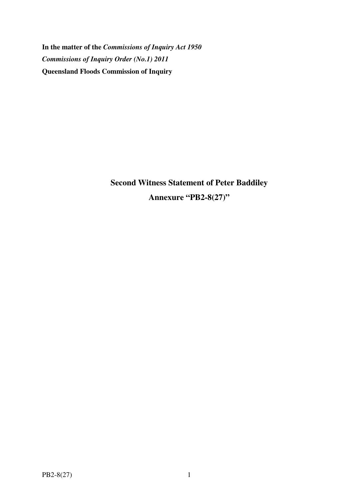**In the matter of the** *Commissions of Inquiry Act 1950 Commissions of Inquiry Order (No.1) 2011* **Queensland Floods Commission of Inquiry** 

> **Second Witness Statement of Peter Baddiley Annexure "PB2-8(27)"**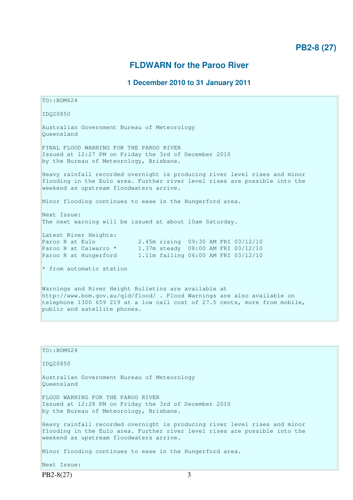# **FLDWARN for the Paroo River**

# **1 December 2010 to 31 January 2011**

```
TO::BOM624 
IDQ20850 
Australian Government Bureau of Meteorology 
Queensland 
FINAL FLOOD WARNING FOR THE PAROO RIVER 
Issued at 12:27 PM on Friday the 3rd of December 2010 
by the Bureau of Meteorology, Brisbane.
Heavy rainfall recorded overnight is producing river level rises and minor 
flooding in the Eulo area. Further river level rises are possible into the 
weekend as upstream floodwaters arrive. 
Minor flooding continues to ease in the Hungerford area. 
Next Issue: 
The next warning will be issued at about 10am Saturday. 
Latest River Heights:
Paroo R at Eulo 2.45m rising 09:30 AM FRI 03/12/10 
Paroo R at Caiwarro * 1.37m steady 08:00 AM FRI 03/12/10 
Paroo R at Hungerford 1.11m falling 06:00 AM FRI 03/12/10 
* from automatic station
Warnings and River Height Bulletins are available at 
http://www.bom.gov.au/qld/flood/ . Flood Warnings are also available on 
telephone 1300 659 219 at a low call cost of 27.5 cents, more from mobile, 
public and satellite phones.
```

| TO::BOM624                                                                                                                                                                                          |
|-----------------------------------------------------------------------------------------------------------------------------------------------------------------------------------------------------|
| ID020850                                                                                                                                                                                            |
| Australian Government Bureau of Meteorology<br>Oueensland                                                                                                                                           |
| FLOOD WARNING FOR THE PAROO RIVER<br>Issued at 12:28 PM on Friday the 3rd of December 2010<br>by the Bureau of Meteorology, Brisbane.                                                               |
| Heavy rainfall recorded overnight is producing river level rises and minor<br>flooding in the Eulo area. Further river level rises are possible into the<br>weekend as upstream floodwaters arrive. |
| Minor flooding continues to ease in the Hungerford area.                                                                                                                                            |
| Next Issue:                                                                                                                                                                                         |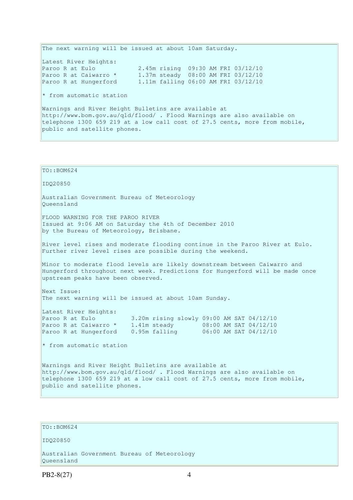The next warning will be issued at about 10am Saturday. Latest River Heights: Paroo R at Eulo 2.45m rising 09:30 AM FRI 03/12/10 Paroo R at Caiwarro \* 1.37m steady 08:00 AM FRI 03/12/10 Paroo R at Hungerford 1.11m falling 06:00 AM FRI 03/12/10  $*$  from automatic station Warnings and River Height Bulletins are available at http://www.bom.gov.au/qld/flood/ . Flood Warnings are also available on telephone 1300 659 219 at a low call cost of 27.5 cents, more from mobile, public and satellite phones.

```
TO::BOM624 
IDQ20850 
Australian Government Bureau of Meteorology 
Queensland 
FLOOD WARNING FOR THE PAROO RIVER
Issued at 9:06 AM on Saturday the 4th of December 2010 
by the Bureau of Meteorology, Brisbane.
River level rises and moderate flooding continue in the Paroo River at Eulo. 
Further river level rises are possible during the weekend. 
Minor to moderate flood levels are likely downstream between Caiwarro and 
Hungerford throughout next week. Predictions for Hungerford will be made once 
upstream peaks have been observed. 
Next Issue: 
The next warning will be issued at about 10am Sunday. 
Latest River Heights: 
Paroo R at Eulo 3.20m rising slowly 09:00 AM SAT 04/12/10 
Paroo R at Caiwarro * 1.41m steady 08:00 AM SAT 04/12/10 
Paroo R at Hungerford 0.95m falling 06:00 AM SAT 04/12/10 
* from automatic station
Warnings and River Height Bulletins are available at 
http://www.bom.gov.au/qld/flood/ . Flood Warnings are also available on 
telephone 1300 659 219 at a low call cost of 27.5 cents, more from mobile, 
public and satellite phones.
```
### TO::BOM624

#### IDQ20850

Australian Government Bureau of Meteorology Queensland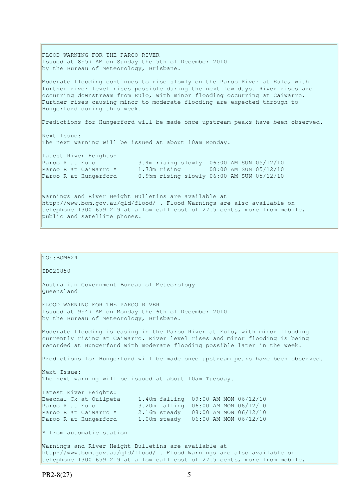FLOOD WARNING FOR THE PAROO RIVER Issued at 8:57 AM on Sunday the 5th of December 2010 by the Bureau of Meteorology, Brisbane. Moderate flooding continues to rise slowly on the Paroo River at Eulo, with further river level rises possible during the next few days. River rises are occurring downstream from Eulo, with minor flooding occurring at Caiwarro. Further rises causing minor to moderate flooding are expected through to Hungerford during this week. Predictions for Hungerford will be made once upstream peaks have been observed. Next Issue: The next warning will be issued at about 10am Monday. Latest River Heights: Paroo R at Eulo 3.4m rising slowly 06:00 AM SUN 05/12/10 Paroo R at Caiwarro \* 1.73m rising 08:00 AM SUN 05/12/10 Paroo R at Hungerford 0.95m rising slowly 06:00 AM SUN 05/12/10 Warnings and River Height Bulletins are available at http://www.bom.gov.au/qld/flood/ . Flood Warnings are also available on telephone 1300 659 219 at a low call cost of 27.5 cents, more from mobile, public and satellite phones.

```
TO:: BOM624
IDQ20850 
Australian Government Bureau of Meteorology 
Queensland 
FLOOD WARNING FOR THE PAROO RIVER 
Issued at 9:47 AM on Monday the 6th of December 2010 
by the Bureau of Meteorology, Brisbane.
Moderate flooding is easing in the Paroo River at Eulo, with minor flooding 
currently rising at Caiwarro. River level rises and minor flooding is being 
recorded at Hungerford with moderate flooding possible later in the week.
Predictions for Hungerford will be made once upstream peaks have been observed. 
Next Issue: 
The next warning will be issued at about 10am Tuesday. 
Latest River Heights:<br>Beechal Ck at Quilpeta
Beechal Ck at Quilpeta 1.40m falling 09:00 AM MON 06/12/10<br>Paroo R at Eulo 3.20m falling 06:00 AM MON 06/12/10
Paroo R at Eulo 3.20m falling 06:00 AM MON 06/12/10 
Paroo R at Caiwarro * 2.16m steady 08:00 AM MON 06/12/10 
Paroo R at Hungerford 1.00m steady 06:00 AM MON 06/12/10 
* from automatic station
Warnings and River Height Bulletins are available at 
http://www.bom.gov.au/qld/flood/ . Flood Warnings are also available on 
telephone 1300 659 219 at a low call cost of 27.5 cents, more from mobile,
```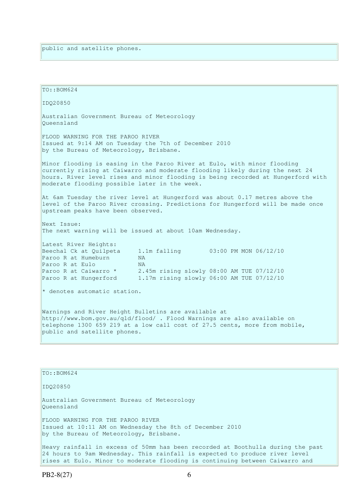```
TO: <math>BOM624</math>IDQ20850 
Australian Government Bureau of Meteorology 
Queensland 
FLOOD WARNING FOR THE PAROO RIVER 
Issued at 9:14 AM on Tuesday the 7th of December 2010 
by the Bureau of Meteorology, Brisbane.
Minor flooding is easing in the Paroo River at Eulo, with minor flooding 
currently rising at Caiwarro and moderate flooding likely during the next 24 
hours. River level rises and minor flooding is being recorded at Hungerford with 
moderate flooding possible later in the week. 
At 6am Tuesday the river level at Hungerford was about 0.17 metres above the 
level of the Paroo River crossing. Predictions for Hungerford will be made once 
upstream peaks have been observed. 
Next Issue: 
The next warning will be issued at about 10am Wednesday. 
Latest River Heights:
Beechal Ck at Quilpeta 1.1m falling 03:00 PM MON 06/12/10
Paroo R at Humeburn NA
Paroo R at Eulo NA
Paroo R at Caiwarro * 2.45m rising slowly 08:00 AM TUE 07/12/10
Paroo R at Hungerford 1.17m rising slowly 06:00 AM TUE 07/12/10 
* denotes automatic station. 
Warnings and River Height Bulletins are available at 
http://www.bom.gov.au/qld/flood/ . Flood Warnings are also available on 
telephone 1300 659 219 at a low call cost of 27.5 cents, more from mobile, 
public and satellite phones. 
TO::BOM624 
IDQ20850 
Australian Government Bureau of Meteorology 
Queensland
```
FLOOD WARNING FOR THE PAROO RIVER Issued at 10:11 AM on Wednesday the 8th of December 2010 by the Bureau of Meteorology, Brisbane.

Heavy rainfall in excess of 50mm has been recorded at Boothulla during the past 24 hours to 9am Wednesday. This rainfall is expected to produce river level rises at Eulo. Minor to moderate flooding is continuing between Caiwarro and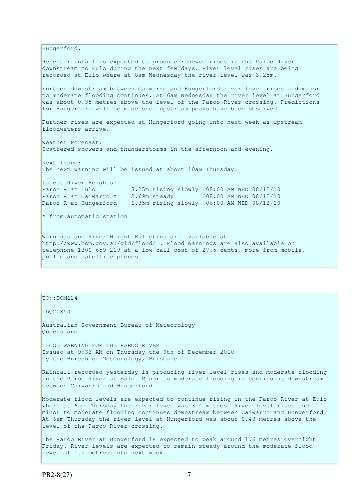Hungerford. Recent rainfall is expected to produce renewed rises in the Paroo River downstream to Eulo during the next few days. River level rises are being recorded at Eulo where at 8am Wednesday the river level was 3.25m. Further downstream between Caiwarro and Hungerford river level rises and minor to moderate flooding continues. At 6am Wednesday the river level at Hungerford was about 0.35 metres above the level of the Paroo River crossing. Predictions for Hungerford will be made once upstream peaks have been observed. Further rises are expected at Hungerford going into next week as upstream floodwaters arrive. Weather Forecast: Scattered showers and thunderstorms in the afternoon and evening. Next Issue: The next warning will be issued at about 10am Thursday. Latest River Heights: Paroo R at Eulo 3.25m rising slowly 08:00 AM WED 08/12/10 Paroo R at Caiwarro \* 2.69m steady 08:00 AM WED 08/12/10 Paroo R at Hungerford 1.35m rising slowly 06:00 AM WED 08/12/10 \* from automatic station Warnings and River Height Bulletins are available at http://www.bom.gov.au/qld/flood/ . Flood Warnings are also available on telephone 1300 659 219 at a low call cost of 27.5 cents, more from mobile, public and satellite phones.

TO::BOM624

IDQ20850

Australian Government Bureau of Meteorology Queensland

FLOOD WARNING FOR THE PAROO RIVER Issued at 9:33 AM on Thursday the 9th of December 2010 by the Bureau of Meteorology, Brisbane.

Rainfall recorded yesterday is producing river level rises and moderate flooding in the Paroo River at Eulo. Minor to moderate flooding is continuing downstream between Caiwarro and Hungerford.

Moderate flood levels are expected to continue rising in the Paroo River at Eulo where at 6am Thursday the river level was 3.4 metres. River level rises and minor to moderate flooding continues downstream between Caiwarro and Hungerford. At 6am Thursday the river level at Hungerford was about 0.43 metres above the level of the Paroo River crossing.

The Paroo River at Hungerford is expected to peak around 1.6 metres overnight Friday. River levels are expected to remain steady around the moderate flood level of 1.5 metres into next week.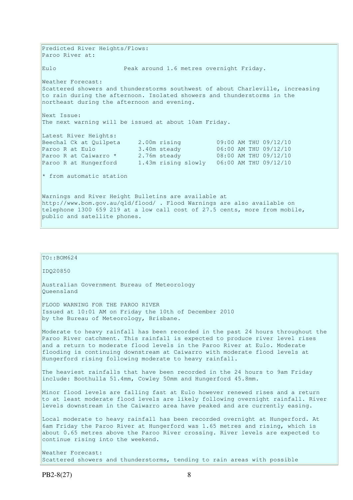Predicted River Heights/Flows: Paroo River at: Eulo Peak around 1.6 metres overnight Friday. Weather Forecast: Scattered showers and thunderstorms southwest of about Charleville, increasing to rain during the afternoon. Isolated showers and thunderstorms in the northeast during the afternoon and evening. Next Issue: The next warning will be issued at about 10am Friday. Latest River Heights: Beechal Ck at Quilpeta 2.00m rising 09:00 AM THU 09/12/10 Paroo R at Eulo 3.40m steady 06:00 AM THU 09/12/10 Paroo R at Caiwarro \* 2.76m steady 08:00 AM THU 09/12/10 Paroo R at Hungerford 1.43m rising slowly 06:00 AM THU 09/12/10  $*$  from automatic station Warnings and River Height Bulletins are available at http://www.bom.gov.au/qld/flood/ . Flood Warnings are also available on telephone 1300 659 219 at a low call cost of 27.5 cents, more from mobile, public and satellite phones.

```
TO:: BOM624
IDQ20850 
Australian Government Bureau of Meteorology 
Queensland 
FLOOD WARNING FOR THE PAROO RIVER 
Issued at 10:01 AM on Friday the 10th of December 2010 
by the Bureau of Meteorology, Brisbane.
Moderate to heavy rainfall has been recorded in the past 24 hours throughout the 
Paroo River catchment. This rainfall is expected to produce river level rises 
and a return to moderate flood levels in the Paroo River at Eulo. Moderate 
flooding is continuing downstream at Caiwarro with moderate flood levels at 
Hungerford rising following moderate to heavy rainfall. 
The heaviest rainfalls that have been recorded in the 24 hours to 9am Friday
include: Boothulla 51.4mm, Cowley 50mm and Hungerford 45.8mm. 
Minor flood levels are falling fast at Eulo however renewed rises and a return 
to at least moderate flood levels are likely following overnight rainfall. River 
levels downstream in the Caiwarro area have peaked and are currently easing. 
Local moderate to heavy rainfall has been recorded overnight at Hungerford. At 
6am Friday the Paroo River at Hungerford was 1.65 metres and rising, which is 
about 0.65 metres above the Paroo River crossing. River levels are expected to 
continue rising into the weekend. 
Weather Forecast:
```
Scattered showers and thunderstorms, tending to rain areas with possible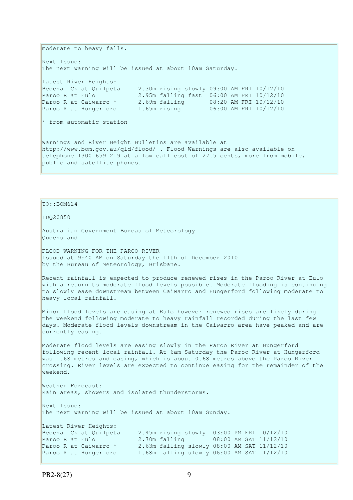moderate to heavy falls. Next Issue: The next warning will be issued at about 10am Saturday. Latest River Heights: Beechal Ck at Quilpeta 2.30m rising slowly 09:00 AM FRI 10/12/10 Paroo R at Eulo 2.95m falling fast 06:00 AM FRI 10/12/10 Paroo R at Caiwarro \* 2.69m falling 08:20 AM FRI 10/12/10 Paroo R at Hungerford 1.65m rising 06:00 AM FRI 10/12/10 \* from automatic station Warnings and River Height Bulletins are available at http://www.bom.gov.au/qld/flood/ . Flood Warnings are also available on telephone 1300 659 219 at a low call cost of 27.5 cents, more from mobile, public and satellite phones.

### $To:  $BOM624$$

IDQ20850

Australian Government Bureau of Meteorology Queensland

FLOOD WARNING FOR THE PAROO RIVER Issued at 9:40 AM on Saturday the 11th of December 2010 by the Bureau of Meteorology, Brisbane.

Recent rainfall is expected to produce renewed rises in the Paroo River at Eulo with a return to moderate flood levels possible. Moderate flooding is continuing to slowly ease downstream between Caiwarro and Hungerford following moderate to heavy local rainfall.

Minor flood levels are easing at Eulo however renewed rises are likely during the weekend following moderate to heavy rainfall recorded during the last few days. Moderate flood levels downstream in the Caiwarro area have peaked and are currently easing.

Moderate flood levels are easing slowly in the Paroo River at Hungerford following recent local rainfall. At 6am Saturday the Paroo River at Hungerford was 1.68 metres and easing, which is about 0.68 metres above the Paroo River crossing. River levels are expected to continue easing for the remainder of the weekend.

Weather Forecast: Rain areas, showers and isolated thunderstorms.

Next Issue: The next warning will be issued at about 10am Sunday. Latest River Heights: Beechal Ck at Quilpeta 2.45m rising slowly 03:00 PM FRI 10/12/10 Paroo R at Eulo 2.70m falling 08:00 AM SAT 11/12/10 Paroo R at Caiwarro \* 2.63m falling slowly 08:00 AM SAT 11/12/10 Paroo R at Hungerford 1.68m falling slowly 06:00 AM SAT 11/12/10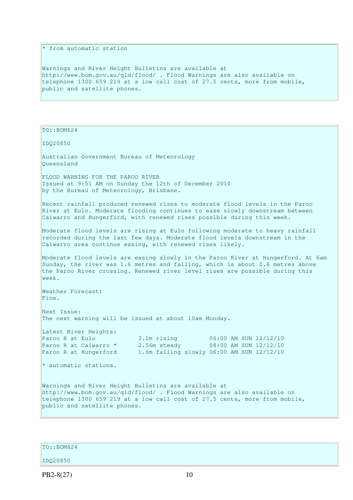### \* from automatic station

Warnings and River Height Bulletins are available at http://www.bom.gov.au/qld/flood/ . Flood Warnings are also available on telephone 1300 659 219 at a low call cost of 27.5 cents, more from mobile, public and satellite phones.

 $TO:  $BOM624$$ 

IDQ20850

Australian Government Bureau of Meteorology Queensland

FLOOD WARNING FOR THE PAROO RIVER Issued at 9:51 AM on Sunday the 12th of December 2010 by the Bureau of Meteorology, Brisbane.

Recent rainfall produced renewed rises to moderate flood levels in the Paroo River at Eulo. Moderate flooding continues to ease slowly downstream between Caiwarro and Hungerford, with renewed rises possible during this week.

Moderate flood levels are rising at Eulo following moderate to heavy rainfall recorded during the last few days. Moderate flood levels downstream in the Caiwarro area continue easing, with renewed rises likely.

Moderate flood levels are easing slowly in the Paroo River at Hungerford. At 6am Sunday, the river was 1.6 metres and falling, which is about  $0.6$  metres above the Paroo River crossing. Renewed river level rises are possible during this  $w \in \mathbb{R}$ 

Weather Forecast: Fine.

Next Issue: The next warning will be issued at about 10am Monday.

Latest River Heights: Paroo R at Eulo 3.1m rising 06:00 AM SUN 12/12/10 Paroo R at Caiwarro \* 2.56m steady 08:00 AM SUN 12/12/10 Paroo R at Hungerford 1.6m falling slowly 06:00 AM SUN 12/12/10

\* automatic stations.

Warnings and River Height Bulletins are available at http://www.bom.gov.au/qld/flood/ . Flood Warnings are also available on telephone 1300 659 219 at a low call cost of 27.5 cents, more from mobile, public and satellite phones.

 $TO: **ROM624**$ 

IDQ20850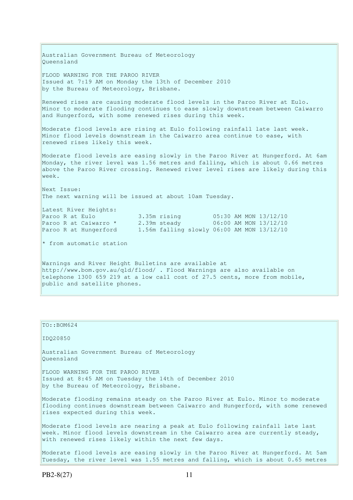Australian Government Bureau of Meteorology Queensland FLOOD WARNING FOR THE PAROO RIVER Issued at 7:19 AM on Monday the 13th of December 2010 by the Bureau of Meteorology, Brisbane. Renewed rises are causing moderate flood levels in the Paroo River at Eulo. Minor to moderate flooding continues to ease slowly downstream between Caiwarro and Hungerford, with some renewed rises during this week. Moderate flood levels are rising at Eulo following rainfall late last week. Minor flood levels downstream in the Caiwarro area continue to ease, with renewed rises likely this week. Moderate flood levels are easing slowly in the Paroo River at Hungerford. At 6am Monday, the river level was 1.56 metres and falling, which is about 0.66 metres above the Paroo River crossing. Renewed river level rises are likely during this week. Next Issue: The next warning will be issued at about 10am Tuesday. Latest River Heights: Paroo R at Eulo 3.35m rising 05:30 AM MON 13/12/10 Paroo R at Caiwarro \* 2.39m steady 06:00 AM MON 13/12/10 Paroo R at Hungerford 1.56m falling slowly 06:00 AM MON 13/12/10  $*$  from automatic station Warnings and River Height Bulletins are available at

http://www.bom.gov.au/qld/flood/ . Flood Warnings are also available on telephone 1300 659 219 at a low call cost of 27.5 cents, more from mobile, public and satellite phones.

# TO::BOM624 IDQ20850 Australian Government Bureau of Meteorology Queensland FLOOD WARNING FOR THE PAROO RIVER Issued at 8:45 AM on Tuesday the 14th of December 2010 by the Bureau of Meteorology, Brisbane. Moderate flooding remains steady on the Paroo River at Eulo. Minor to moderate flooding continues downstream between Caiwarro and Hungerford, with some renewed rises expected during this week. Moderate flood levels are nearing a peak at Eulo following rainfall late last week. Minor flood levels downstream in the Caiwarro area are currently steady, with renewed rises likely within the next few days. Moderate flood levels are easing slowly in the Paroo River at Hungerford. At 5am Tuesday, the river level was 1.55 metres and falling, which is about 0.65 metres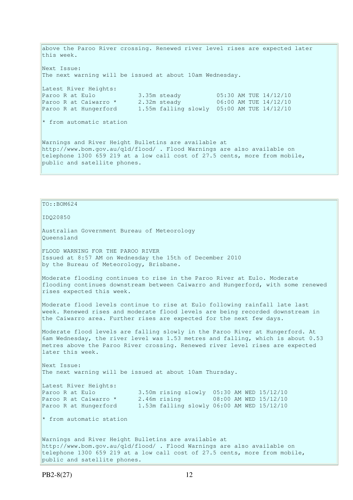above the Paroo River crossing. Renewed river level rises are expected later this week. Next Issue: The next warning will be issued at about 10am Wednesday. Latest River Heights: Paroo R at Eulo 3.35m steady 05:30 AM TUE 14/12/10 Paroo R at Caiwarro \* 2.32m steady 06:00 AM TUE 14/12/10 Paroo R at Hungerford 1.55m falling slowly 05:00 AM TUE 14/12/10 \* from automatic station Warnings and River Height Bulletins are available at http://www.bom.gov.au/qld/flood/ . Flood Warnings are also available on telephone 1300 659 219 at a low call cost of 27.5 cents, more from mobile, public and satellite phones.

### $To:  $BOM624$$

IDQ20850

Australian Government Bureau of Meteorology Queensland

FLOOD WARNING FOR THE PAROO RIVER Issued at 8:57 AM on Wednesday the 15th of December 2010 by the Bureau of Meteorology, Brisbane.

Moderate flooding continues to rise in the Paroo River at Eulo. Moderate flooding continues downstream between Caiwarro and Hungerford, with some renewed rises expected this week.

Moderate flood levels continue to rise at Eulo following rainfall late last week. Renewed rises and moderate flood levels are being recorded downstream in the Caiwarro area. Further rises are expected for the next few days.

Moderate flood levels are falling slowly in the Paroo River at Hungerford. At 6am Wednesday, the river level was 1.53 metres and falling, which is about 0.53 metres above the Paroo River crossing. Renewed river level rises are expected later this week.

Next Issue: The next warning will be issued at about 10am Thursday.

Latest River Heights: Paroo R at Caiwarro \*<br>Paroo R at Hungerford

Paroo R at Eulo 3.50m rising slowly 05:30 AM WED 15/12/10<br>Paroo R at Caiwarro \* 2.46m rising 08:00 AM WED 15/12/10 1.53m falling slowly 06:00 AM WED 15/12/10

\* from automatic station

Warnings and River Height Bulletins are available at http://www.bom.gov.au/qld/flood/ . Flood Warnings are also available on telephone 1300 659 219 at a low call cost of 27.5 cents, more from mobile, public and satellite phones.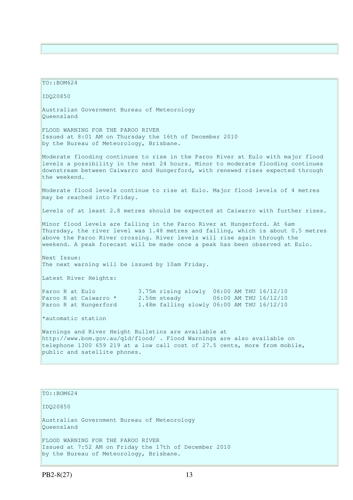TO::BOM624 IDQ20850 Australian Government Bureau of Meteorology Queensland FLOOD WARNING FOR THE PAROO RIVER Issued at 8:01 AM on Thursday the 16th of December 2010 by the Bureau of Meteorology, Brisbane. Moderate flooding continues to rise in the Paroo River at Eulo with major flood levels a possibility in the next 24 hours. Minor to moderate flooding continues downstream between Caiwarro and Hungerford, with renewed rises expected through the weekend. Moderate flood levels continue to rise at Eulo. Major flood levels of 4 metres may be reached into Friday. Levels of at least 2.8 metres should be expected at Caiwarro with further rises. Minor flood levels are falling in the Paroo River at Hungerford. At 6am Thursday, the river level was 1.48 metres and falling, which is about 0.5 metres above the Paroo River crossing. River levels will rise again through the weekend. A peak forecast will be made once a peak has been observed at Eulo. Next Issue: The next warning will be issued by 10am Friday. Latest River Heights: Paroo R at Eulo 3.75m rising slowly 06:00 AM THU 16/12/10 Paroo R at Caiwarro \* 2.56m steady 06:00 AM THU 16/12/10 Paroo R at Hungerford 1.48m falling slowly 06:00 AM THU 16/12/10 \*automatic station Warnings and River Height Bulletins are available at http://www.bom.gov.au/qld/flood/ . Flood Warnings are also available on telephone 1300 659 219 at a low call cost of 27.5 cents, more from mobile, public and satellite phones.

IDQ20850 Australian Government Bureau of Meteorology Queensland FLOOD WARNING FOR THE PAROO RIVER Issued at 7:52 AM on Friday the 17th of December 2010 by the Bureau of Meteorology, Brisbane.

TO::BOM624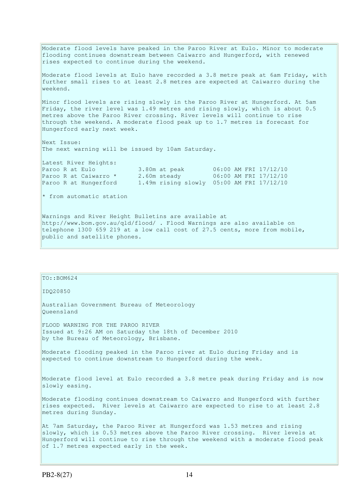Moderate flood levels have peaked in the Paroo River at Eulo. Minor to moderate flooding continues downstream between Caiwarro and Hungerford, with renewed rises expected to continue during the weekend. Moderate flood levels at Eulo have recorded a 3.8 metre peak at 6am Friday, with further small rises to at least 2.8 metres are expected at Caiwarro during the weekend. Minor flood levels are rising slowly in the Paroo River at Hungerford. At 5am Friday, the river level was 1.49 metres and rising slowly, which is about 0.5 metres above the Paroo River crossing. River levels will continue to rise through the weekend. A moderate flood peak up to 1.7 metres is forecast for Hungerford early next week. Next Issue: The next warning will be issued by 10am Saturday. Latest River Heights: Paroo R at Eulo 3.80m at peak 06:00 AM FRI 17/12/10 Paroo R at Caiwarro \* 2.60m steady 06:00 AM FRI 17/12/10 Paroo R at Hungerford 1.49m rising slowly 05:00 AM FRI 17/12/10 \* from automatic station Warnings and River Height Bulletins are available at http://www.bom.gov.au/qld/flood/ . Flood Warnings are also available on telephone 1300 659 219 at a low call cost of 27.5 cents, more from mobile,

TO::BOM624

public and satellite phones.

IDQ20850

Australian Government Bureau of Meteorology Queensland

FLOOD WARNING FOR THE PAROO RIVER Issued at 9:26 AM on Saturday the 18th of December 2010 by the Bureau of Meteorology, Brisbane.

Moderate flooding peaked in the Paroo river at Eulo during Friday and is expected to continue downstream to Hungerford during the week.

Moderate flood level at Eulo recorded a 3.8 metre peak during Friday and is now slowly easing.

Moderate flooding continues downstream to Caiwarro and Hungerford with further rises expected. River levels at Caiwarro are expected to rise to at least 2.8 metres during Sunday.

At 7am Saturday, the Paroo River at Hungerford was 1.53 metres and rising slowly, which is 0.53 metres above the Paroo River crossing. River levels at Hungerford will continue to rise through the weekend with a moderate flood peak of 1.7 metres expected early in the week.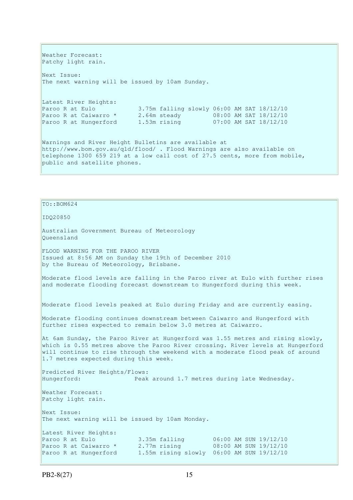Weather Forecast: Patchy light rain. Next Issue: The next warning will be issued by 10am Sunday. Latest River Heights: Paroo R at Eulo 3.75m falling slowly 06:00 AM SAT 18/12/10 Paroo R at Caiwarro \* 2.64m steady 08:00 AM SAT 18/12/10 Paroo R at Hungerford 1.53m rising 07:00 AM SAT 18/12/10 Warnings and River Height Bulletins are available at http://www.bom.gov.au/qld/flood/ . Flood Warnings are also available on telephone 1300 659 219 at a low call cost of 27.5 cents, more from mobile, public and satellite phones.

## $To:  $BOM624$$

IDQ20850

Australian Government Bureau of Meteorology Queensland

FLOOD WARNING FOR THE PAROO RIVER Issued at 8:56 AM on Sunday the 19th of December 2010 by the Bureau of Meteorology, Brisbane.

Moderate flood levels are falling in the Paroo river at Eulo with further rises and moderate flooding forecast downstream to Hungerford during this week.

Moderate flood levels peaked at Eulo during Friday and are currently easing.

Moderate flooding continues downstream between Caiwarro and Hungerford with further rises expected to remain below 3.0 metres at Caiwarro.

At 6am Sunday, the Paroo River at Hungerford was 1.55 metres and rising slowly, which is 0.55 metres above the Paroo River crossing. River levels at Hungerford will continue to rise through the weekend with a moderate flood peak of around 1.7 metres expected during this week.

Predicted River Heights/Flows: Hungerford: Peak around 1.7 metres during late Wednesday. Weather Forecast: Patchy light rain.

Next Issue:

The next warning will be issued by 10am Monday.

Latest River Heights: Paroo R at Eulo 3.35m falling 06:00 AM SUN 19/12/10<br>Paroo R at Caiwarro \* 2.77m rising 08:00 AM SUN 19/12/10 Paroo R at Caiwarro \* 2.77m rising 08:00 AM SUN 19/12/10 Paroo R at Hungerford 1.55m rising slowly 06:00 AM SUN 19/12/10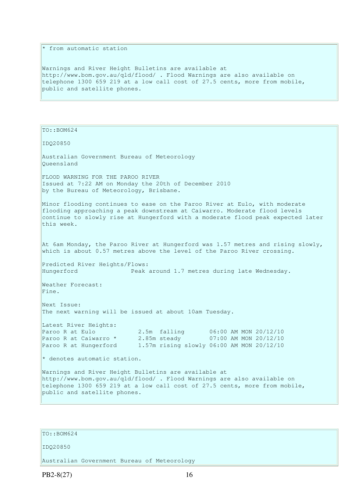### \* from automatic station

Warnings and River Height Bulletins are available at http://www.bom.gov.au/qld/flood/ . Flood Warnings are also available on telephone 1300 659 219 at a low call cost of 27.5 cents, more from mobile, public and satellite phones.

 $TO:  $BOM624$$ 

IDQ20850

Australian Government Bureau of Meteorology Queensland

FLOOD WARNING FOR THE PAROO RIVER Issued at 7:22 AM on Monday the 20th of December 2010 by the Bureau of Meteorology, Brisbane.

Minor flooding continues to ease on the Paroo River at Eulo, with moderate flooding approaching a peak downstream at Caiwarro. Moderate flood levels continue to slowly rise at Hungerford with a moderate flood peak expected later this week.

At 6am Monday, the Paroo River at Hungerford was 1.57 metres and rising slowly, which is about 0.57 metres above the level of the Paroo River crossing.

Predicted River Heights/Flows: Hungerford Peak around 1.7 metres during late Wednesday.

Weather Forecast: Fine.

Next Issue: The next warning will be issued at about 10am Tuesday.

Latest River Heights: Paroo R at Eulo 2.5m falling 06:00 AM MON 20/12/10 Paroo R at Caiwarro \* 2.85m steady 07:00 AM MON 20/12/10 Paroo R at Hungerford 1.57m rising slowly 06:00 AM MON 20/12/10

\* denotes automatic station.

Warnings and River Height Bulletins are available at http://www.bom.gov.au/qld/flood/ . Flood Warnings are also available on telephone 1300 659 219 at a low call cost of 27.5 cents, more from mobile, public and satellite phones.

### $To:  $BOM624$$

IDQ20850

Australian Government Bureau of Meteorology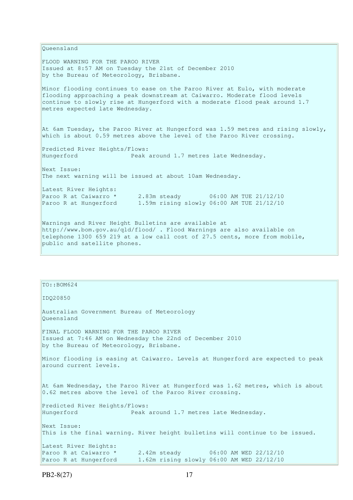Queensland FLOOD WARNING FOR THE PAROO RIVER Issued at 8:57 AM on Tuesday the 21st of December 2010 by the Bureau of Meteorology, Brisbane. Minor flooding continues to ease on the Paroo River at Eulo, with moderate flooding approaching a peak downstream at Caiwarro. Moderate flood levels continue to slowly rise at Hungerford with a moderate flood peak around 1.7 metres expected late Wednesday. At 6am Tuesday, the Paroo River at Hungerford was 1.59 metres and rising slowly, which is about 0.59 metres above the level of the Paroo River crossing. Predicted River Heights/Flows: Hungerford Peak around 1.7 metres late Wednesday. Next Issue: The next warning will be issued at about 10am Wednesday. Latest River Heights: Paroo R at Caiwarro \* 2.83m steady 06:00 AM TUE 21/12/10 Paroo R at Hungerford 1.59m rising slowly 06:00 AM TUE 21/12/10 Warnings and River Height Bulletins are available at http://www.bom.gov.au/qld/flood/ . Flood Warnings are also available on telephone 1300 659 219 at a low call cost of 27.5 cents, more from mobile, public and satellite phones.

| $TO: BOM624$                                                                                                                                   |
|------------------------------------------------------------------------------------------------------------------------------------------------|
| ID020850                                                                                                                                       |
| Australian Government Bureau of Meteorology<br>Oueensland                                                                                      |
| FINAL FLOOD WARNING FOR THE PAROO RIVER<br>Issued at 7:46 AM on Wednesday the 22nd of December 2010<br>by the Bureau of Meteorology, Brisbane. |
| Minor flooding is easing at Caiwarro. Levels at Hungerford are expected to peak<br>around current levels.                                      |
| At 6am Wednesday, the Paroo River at Hungerford was 1.62 metres, which is about<br>0.62 metres above the level of the Paroo River crossing.    |
| Predicted River Heights/Flows:<br>Hungerford<br>Peak around 1.7 metres late Wednesday.                                                         |
| Next Issue:<br>This is the final warning. River height bulletins will continue to be issued.                                                   |
| Latest River Heights:                                                                                                                          |
| Paroo R at Caiwarro $*$ 2.42m steady 06:00 AM WED 22/12/10                                                                                     |
| 1.62m rising slowly 06:00 AM WED 22/12/10<br>Paroo R at Hungerford                                                                             |